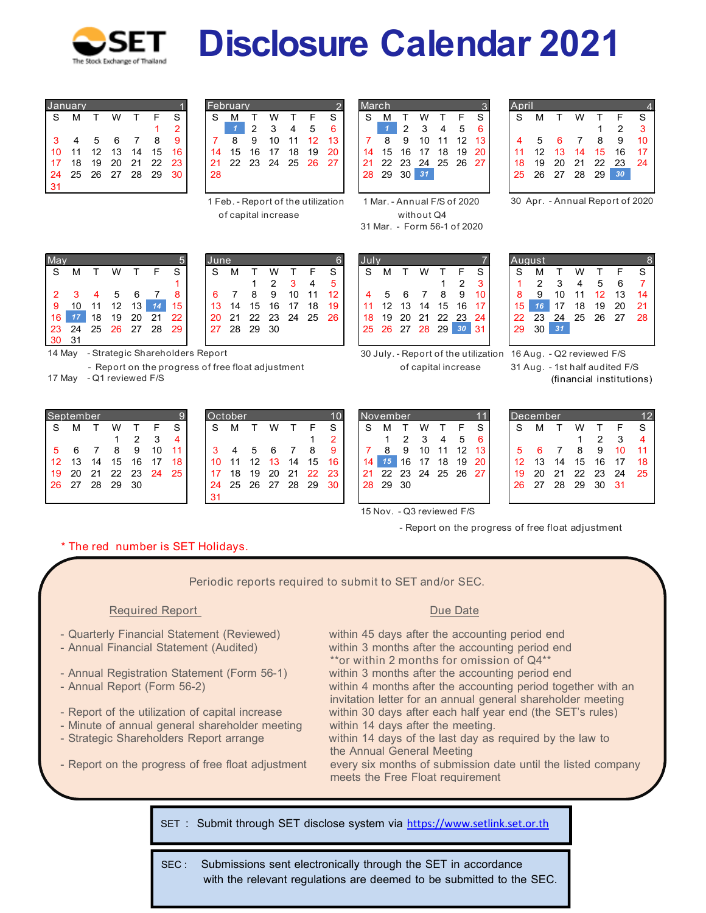

## *Disclosure Calendar 2021*

|    | lanuarv |    |    |    |    |    |
|----|---------|----|----|----|----|----|
| S  | М       | т  | w  | т  | F  | S  |
|    |         |    |    |    |    | 2  |
| 3  | 4       | 5  | 6  |    | 8  | 9  |
| 10 | 11      | 12 | 13 | 14 | 15 | 16 |
| 17 | 18      | 19 | 20 | 21 | 22 | 23 |
| 24 | 25      | 26 | 27 | 28 | 29 | 30 |
| 31 |         |    |    |    |    |    |

|    | Januarv       |      |      |     |     |    | February |    |       |    |    |      |     | March |    |    |                                   |     |     |                 | April |    |     |    |           |                 |                         |
|----|---------------|------|------|-----|-----|----|----------|----|-------|----|----|------|-----|-------|----|----|-----------------------------------|-----|-----|-----------------|-------|----|-----|----|-----------|-----------------|-------------------------|
| S. | м             |      | W    |     |     | S  | S        | М  |       | w  |    |      | S   | `S    | М  |    | w                                 |     | F   | S.              | -S    | м  |     | W  |           |                 | - S                     |
|    |               |      |      |     |     |    |          |    | 2     | 3  | 4  | 5    | 6   |       |    | 2  |                                   | 4   | 5   | -6              |       |    |     |    |           |                 | $\overline{\mathbf{3}}$ |
| 3  |               | 5    |      |     | 8   |    |          | 8  | 9     | 10 | 11 | 12   | 13  |       | 8  | -9 | 10                                | 11  | 12  | 13 <sup>1</sup> |       |    |     |    | 8         | -9              | -10                     |
|    | $10 \quad 11$ | 12   | 13   | 14  | 15  | 16 | 14       | 15 | 16    | 17 | 18 | 19   | -20 | 14    | 15 | 16 | - 17                              | 18  | 19  | -20             | -11   | 12 | -13 | 14 | -15       | 16              | -17                     |
|    | 17 18         | 19   | 20   | -21 | 22  | 23 | 21       | 22 | 23 24 |    | 25 | - 26 | 27  | -21   | 22 | 23 | -24                               | -25 | -26 | - 27            | 18    | 19 | 20  | 21 | 22        | 23              | - 24                    |
|    | 24 25         | - 26 | - 27 | 28  | -29 | 30 | 28       |    |       |    |    |      |     | 28    | 29 |    | $30 \overline{\smash{\big)}\ 31}$ |     |     |                 | -25   | 26 | -27 | 28 | <b>29</b> | 30 <sub>2</sub> |                         |
| 31 |               |      |      |     |     |    |          |    |       |    |    |      |     |       |    |    |                                   |     |     |                 |       |    |     |    |           |                 |                         |

**1 Feb. - Report of the utilization 1 Mar. - Annual F/S of 2020 of capital increase without Q4**

|    |       |      |    |       | S     |
|----|-------|------|----|-------|-------|
|    | 2     | 3    |    | 5     |       |
| 8  | 9     | 10   | 11 | 12    | 13    |
| 15 | 16    | 17   | 18 | 19    | 20    |
| 22 |       |      |    |       |       |
| 29 | 30    |      |    |       |       |
|    | 1arch | - 23 |    | 24 25 | 26 27 |

|  |    | <b>February</b> |    |     |    |     |     | l March |          |       |                   |    |    |      | April |                 |     |    |      |                 |      |
|--|----|-----------------|----|-----|----|-----|-----|---------|----------|-------|-------------------|----|----|------|-------|-----------------|-----|----|------|-----------------|------|
|  | S  | M               |    | w   |    | E.  | S   | S       | M        |       | w                 |    |    | -S   | - S   | M               |     | W  |      |                 | -S   |
|  |    |                 | 2  | - 3 | 4  | - 5 | 6   |         |          | 2     | -3                | 4  | 5  | -6   |       |                 |     |    |      | 2               |      |
|  |    | 8               | 9  | 10  | 11 | 12  |     |         | 8        | -9    | 10                | 11 | 12 | - 13 | 4     | 5               | -6  |    | -8   | -9              | 10   |
|  | 14 | 15              | 16 | 17  | 18 | 19  | 20  | 14      |          | 15 16 | -17               | 18 | 19 | -20  |       | 12 <sup>°</sup> | 13  | 14 | - 15 | 16              |      |
|  | 21 | 22 23 24 25 26  |    |     |    |     | -27 | 21      |          |       | 22 23 24 25 26 27 |    |    |      | 18    | 19              | -20 | 21 | - 22 | - 23            | - 24 |
|  | 28 |                 |    |     |    |     |     |         | 28 29 30 |       | 31                |    |    |      | 25    | 26 27 28        |     |    | 29   | 30 <sup>°</sup> |      |
|  |    |                 |    |     |    |     |     |         |          |       |                   |    |    |      |       |                 |     |    |      |                 |      |

**30 Apr. - Annual Report of 2020**

| May |    |                                        |      |              |    | 5  | lune |  |
|-----|----|----------------------------------------|------|--------------|----|----|------|--|
| S   | м  | T                                      | w    | $\mathsf{T}$ | F  | S  | S    |  |
|     |    |                                        |      |              |    |    |      |  |
| 2   |    |                                        | 5    | 6            |    | 8  | 6    |  |
| 9   | 10 | 11                                     | 12   | 13           | 14 | 15 | 13   |  |
| 16  | 17 | 18                                     | 19   | 20           | 21 | 22 | 20   |  |
| -23 | 24 | 25                                     | - 26 | - 27         | 28 | 29 | 27   |  |
| 30  | 31 |                                        |      |              |    |    |      |  |
|     |    | 14 May - Strategic Shareholders Report |      |              |    |    |      |  |

| √laγ |         |                                           |     |                 | <b>June</b>                                                                 |               |     |       |   |                      | Uulv                 |     |   |    |                |                      | August          |                |     |                   |      |
|------|---------|-------------------------------------------|-----|-----------------|-----------------------------------------------------------------------------|---------------|-----|-------|---|----------------------|----------------------|-----|---|----|----------------|----------------------|-----------------|----------------|-----|-------------------|------|
|      | S M     | W                                         | T F | S               | -S                                                                          | M T           |     | W T F |   | - S I                | S.                   | M T | W |    |                | T F SI               | IS.             | M T            | W T | F S               |      |
|      |         |                                           |     |                 |                                                                             |               | 2 3 |       | 4 | 5.                   |                      |     |   |    | $\overline{2}$ |                      |                 |                |     | 2 3 4 5 6 7       |      |
|      | 2 3 4 5 |                                           | - 6 | -8              |                                                                             | 6 7 8 9 10 11 |     |       |   | 12 I                 | 4 5 6 7              |     |   | 89 |                | -10-                 | 8               |                |     | 9 10 11 12 13 14  |      |
|      |         | 9 10 11 12 13 14                          |     | 15 <sup>1</sup> |                                                                             |               |     |       |   | 13 14 15 16 17 18 19 |                      |     |   |    |                | 11 12 13 14 15 16 17 | l 15 l          |                |     | 16 17 18 19 20 21 |      |
|      |         | 16 17 18 19 20 21                         |     | $22 \mid$       |                                                                             |               |     |       |   | 20 21 22 23 24 25 26 | 18 19 20 21 22 23 24 |     |   |    |                |                      | $\overline{22}$ | 23 24 25 26 27 |     |                   | - 28 |
|      |         | 23  24  25  26  27  28  29 <mark>1</mark> |     |                 | $\begin{array}{ c c c c c } \hline 27 & 28 & 29 & 30 \\ \hline \end{array}$ |               |     |       |   |                      | 25 26 27 28 29 30    |     |   |    |                | 31                   | 29 30 31        |                |     |                   |      |
|      | 30 31   |                                           |     |                 |                                                                             |               |     |       |   |                      |                      |     |   |    |                |                      |                 |                |     |                   |      |

**30 July. - Report of the utilization 16 Aug. - Q2 reviewed F/S** 

**- Report on the progress of free float adjustment of capital increase 31 Aug. - 1st half audited F/S (financial institutions)**

| September   |          |   |       |    |                   |    |
|-------------|----------|---|-------|----|-------------------|----|
| S           | М        | T | W     | T  | F                 | S  |
|             |          |   |       | 2  | 3                 | 4  |
| $5^{\circ}$ | 6        |   | 8     | 9  | 10                | 11 |
| 12          | 13       |   | 14 15 | 16 | 17                | 18 |
| 19          |          |   |       |    | 20 21 22 23 24 25 |    |
| 26          | 27 28 29 |   |       | 30 |                   |    |
|             |          |   |       |    |                   |    |

**17 May - Q1 reviewed F/S** 

|               | September |     |     |      |    |    | October |    |       |     |    |    |    |     | l November |    |          |    |       |    | <b>December</b> |    |      |    |               |    |            |
|---------------|-----------|-----|-----|------|----|----|---------|----|-------|-----|----|----|----|-----|------------|----|----------|----|-------|----|-----------------|----|------|----|---------------|----|------------|
| S.            | м         |     | W   |      | F  | S  | S       | м  |       | w   |    |    | S  | S   | M          |    | w        |    |       | S. | <sub>S</sub>    | M  |      | w  |               |    | - S        |
|               |           |     |     | 2    | 3  | 4  |         |    |       |     |    |    |    |     |            |    |          | Δ  | 5     | 6  |                 |    |      |    | $\mathcal{P}$ | 3  | $\Delta$   |
| 5             |           |     | 8   | 9    | 10 |    |         | 4  | 5     | 6   |    | 8  | 9  |     |            | 9  | 10       | 11 | 12    |    |                 |    |      | 8  | 9             | 10 | $\cdot$ 11 |
| $12 \quad 13$ |           | 14  | 15  | 16   |    | 18 | 10      |    | 12    | -13 | 14 | 15 | 16 | 14. | 15         | 16 |          | 18 | 19    | 20 | 12 <sup>°</sup> | 13 | 14   | 15 | 16            | 17 | ា8         |
| 19 20         |           | -21 | 22  | -23  | 24 | 25 | 17      | 18 | 19    | 20  | 21 | 22 | 23 | 21  |            |    | 22 23 24 | 25 | 26 27 |    | 19              | 20 | - 21 | 22 | -23           | 24 | $-25$      |
| 26 27         |           | -28 | -29 | - 30 |    |    | 24      | 25 | 26 27 |     | 28 | 29 | 30 |     | 28 29 30   |    |          |    |       |    | -26             | 27 | 28   | 29 | 30 31         |    |            |
|               |           |     |     |      |    |    | 31      |    |       |     |    |    |    |     |            |    |          |    |       |    |                 |    |      |    |               |    |            |

|    | <u>ovember</u> |    |                   |       |    |         |
|----|----------------|----|-------------------|-------|----|---------|
| S  |                |    | W                 |       | F  | S       |
|    |                | 2  | 3                 |       | 5  | 6       |
|    | 8              | 9  | 10                | $-11$ |    | $12$ 13 |
|    | 15             |    | 16 17 18          |       | 19 | 20      |
| 21 |                |    | 22 23 24 25 26 27 |       |    |         |
| 28 | 29             | 30 |                   |       |    |         |
|    |                |    |                   |       |    |         |

|     | sentember |      |       |       |    |     |     | <i><b>Actober</b></i> |          |      |      |          |      | l November |    |    |       |                   |     |     |                 | )ecember |    |          |    |             | $\overline{1}$ |
|-----|-----------|------|-------|-------|----|-----|-----|-----------------------|----------|------|------|----------|------|------------|----|----|-------|-------------------|-----|-----|-----------------|----------|----|----------|----|-------------|----------------|
| S.  | м         |      | W     |       |    | S.  | S   | м                     |          | W    |      |          | S.   | S          | м  |    | w     |                   | F.  | S   | <b>S</b>        | м        |    | W        |    |             | -S             |
|     |           |      |       |       | 3  |     |     |                       |          |      |      |          |      |            |    |    | 3     | 4                 | -5  | -6  |                 |          |    |          | 2  | 3           |                |
| 5 6 |           |      | 8     | 9     | 10 |     |     | 4                     | 5        | 6    |      |          |      |            | 8  | -9 | 10    | 11                | -12 | -13 |                 |          |    | 8        | -9 | 10          |                |
|     | 12 13     | 14   | 15    | 16    |    |     | 10. | 11                    | 12       | - 13 | 14   | 15       | 16   | 14         | 15 |    | 16 17 | 18                | 19  | -20 | 12 <sup>°</sup> | 13       | 14 | 15       | 16 | 17          | 18.            |
|     | 19 20     | -21  | - 22  | 23 24 |    | -25 | 17  | 18                    | 19       |      |      | 20 21 22 | - 23 | -21        |    |    |       | 22 23 24 25 26 27 |     |     | 19              | 20       | 21 |          |    | 22 23 24 25 |                |
|     | 26 27     | - 28 | 29 30 |       |    |     | 24  |                       | 25 26 27 |      | - 28 | -29      | 30   | 28 29 30   |    |    |       |                   |     |     | 26.             | 27       | 28 | 29 30 31 |    |             |                |
|     |           |      |       |       |    |     |     |                       |          |      |      |          |      |            |    |    |       |                   |     |     |                 |          |    |          |    |             |                |

**15 Nov. - Q3 reviewed F/S**

 **- Report on the progress of free float adjustment**

## **\* The red number is SET Holidays.**

 **Periodic reports required to submit to SET and/or SEC.**

## **Required Report Due Date Accord Property Required Report**

- 
- 
- 
- 
- 
- Minute of annual general shareholder meeting
- 
- 

- Quarterly Financial Statement (Reviewed) within 45 days after the accounting period end - Annual Financial Statement (Audited) within 3 months after the accounting period end **\*\*or within 2 months for omission of Q4\*\*** - Annual Registration Statement (Form 56-1) within 3 months after the accounting period end<br>- Annual Report (Form 56-2) within 4 months after the accounting period toge within 4 months after the accounting period together with an invitation letter for an annual general shareholder meeting<br>Report of the utilization of capital increase within 30 days after each half year end (the SET's rules) within 30 days after each half year end (the SET's rules)<br>within 14 days after the meeting.

- Strategic Shareholders Report arrange within 14 days of the last day as required by the law to the Annual General Meeting

- Report on the progress of free float adjustment every six months of submission date until the listed company meets the Free Float requirement

**SET :** Submit through SET disclose system via https://www.setlink.set.or.th

**SEC :** Submissions sent electronically through the SET in accordance with the relevant regulations are deemed to be submitted to the SEC.

|  | 2 3 | $\overline{4}$                                                       | -5 |  |
|--|-----|----------------------------------------------------------------------|----|--|
|  |     | 7 8 9 10 11 12<br>14 15 16 17 18 19<br>21 22 23 24 25 26<br>28 29 30 |    |  |
|  |     |                                                                      |    |  |
|  |     |                                                                      |    |  |
|  |     |                                                                      |    |  |
|  |     |                                                                      |    |  |

|    |    |             |   |    |    |      |    | aust           |
|----|----|-------------|---|----|----|------|----|----------------|
| S  | м  |             | w |    |    | S    | S  | м              |
|    |    |             |   |    | 2  | 3    |    | $\mathfrak{p}$ |
|    | 5  | 6           |   | 8  | 9  | 10   | 8  | 9              |
|    | 12 | 13 14       |   | 15 | 16 | 17   | 15 | 16             |
| 18 | 19 | 20 21 22 23 |   |    |    | - 24 | 22 | 23             |
| 25 |    | 26 27 28 29 |   |    | 30 | 31   | 29 | 30             |
|    |    |             |   |    |    |      |    |                |

**31 Mar. - Form 56-1 of 2020**